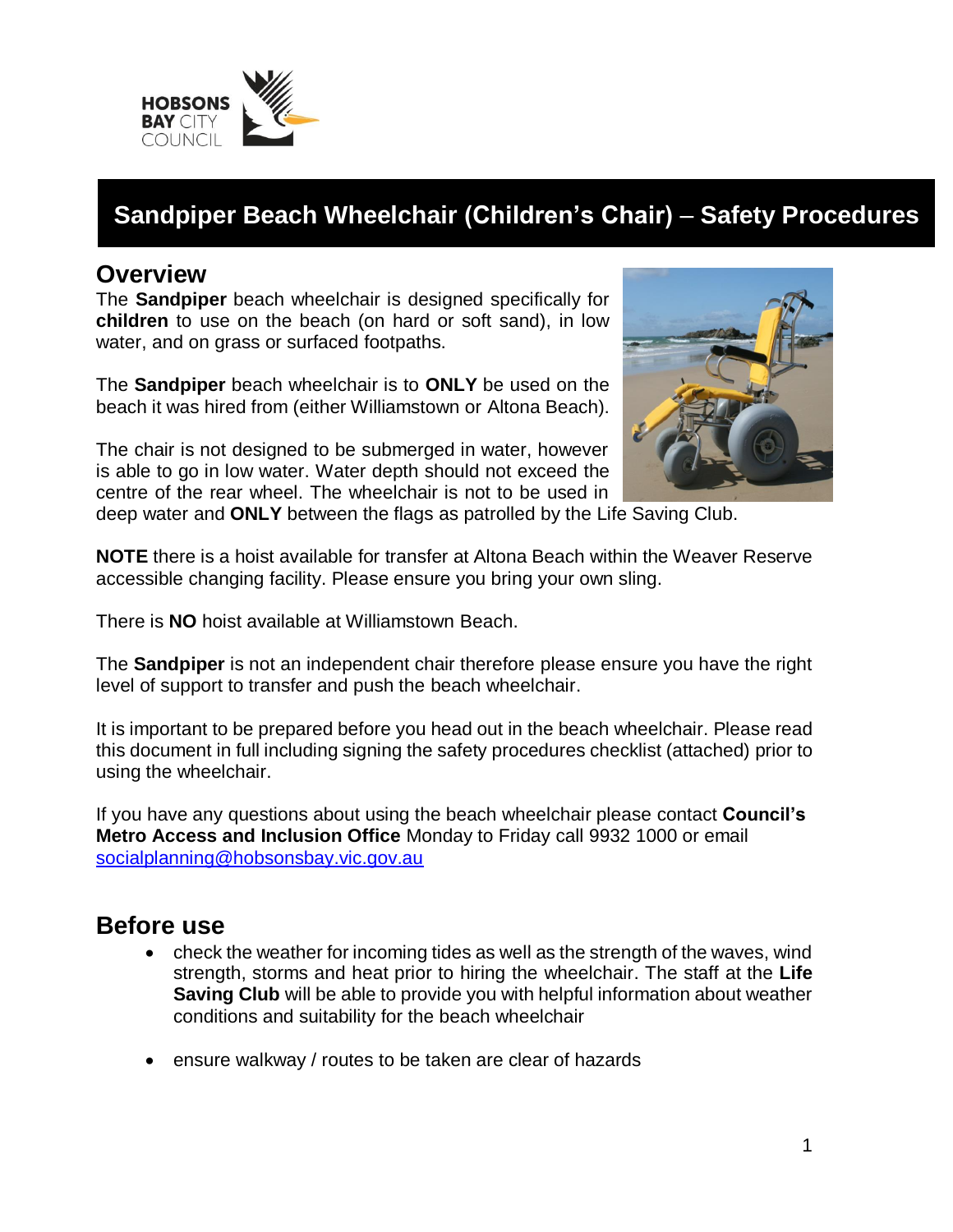

# **Sandpiper Beach Wheelchair (Children's Chair)** – **Safety Procedures**

#### **Overview**

The **Sandpiper** beach wheelchair is designed specifically for **children** to use on the beach (on hard or soft sand), in low water, and on grass or surfaced footpaths.

The **Sandpiper** beach wheelchair is to **ONLY** be used on the beach it was hired from (either Williamstown or Altona Beach).

The chair is not designed to be submerged in water, however is able to go in low water. Water depth should not exceed the centre of the rear wheel. The wheelchair is not to be used in



deep water and **ONLY** between the flags as patrolled by the Life Saving Club.

**NOTE** there is a hoist available for transfer at Altona Beach within the Weaver Reserve accessible changing facility. Please ensure you bring your own sling.

There is **NO** hoist available at Williamstown Beach.

The **Sandpiper** is not an independent chair therefore please ensure you have the right level of support to transfer and push the beach wheelchair.

It is important to be prepared before you head out in the beach wheelchair. Please read this document in full including signing the safety procedures checklist (attached) prior to using the wheelchair.

If you have any questions about using the beach wheelchair please contact **Council's Metro Access and Inclusion Office** Monday to Friday call 9932 1000 or email socialplanning@hobsonsbay.vic.gov.au

#### **Before use**

- check the weather for incoming tides as well as the strength of the waves, wind strength, storms and heat prior to hiring the wheelchair. The staff at the **Life Saving Club** will be able to provide you with helpful information about weather conditions and suitability for the beach wheelchair
- ensure walkway / routes to be taken are clear of hazards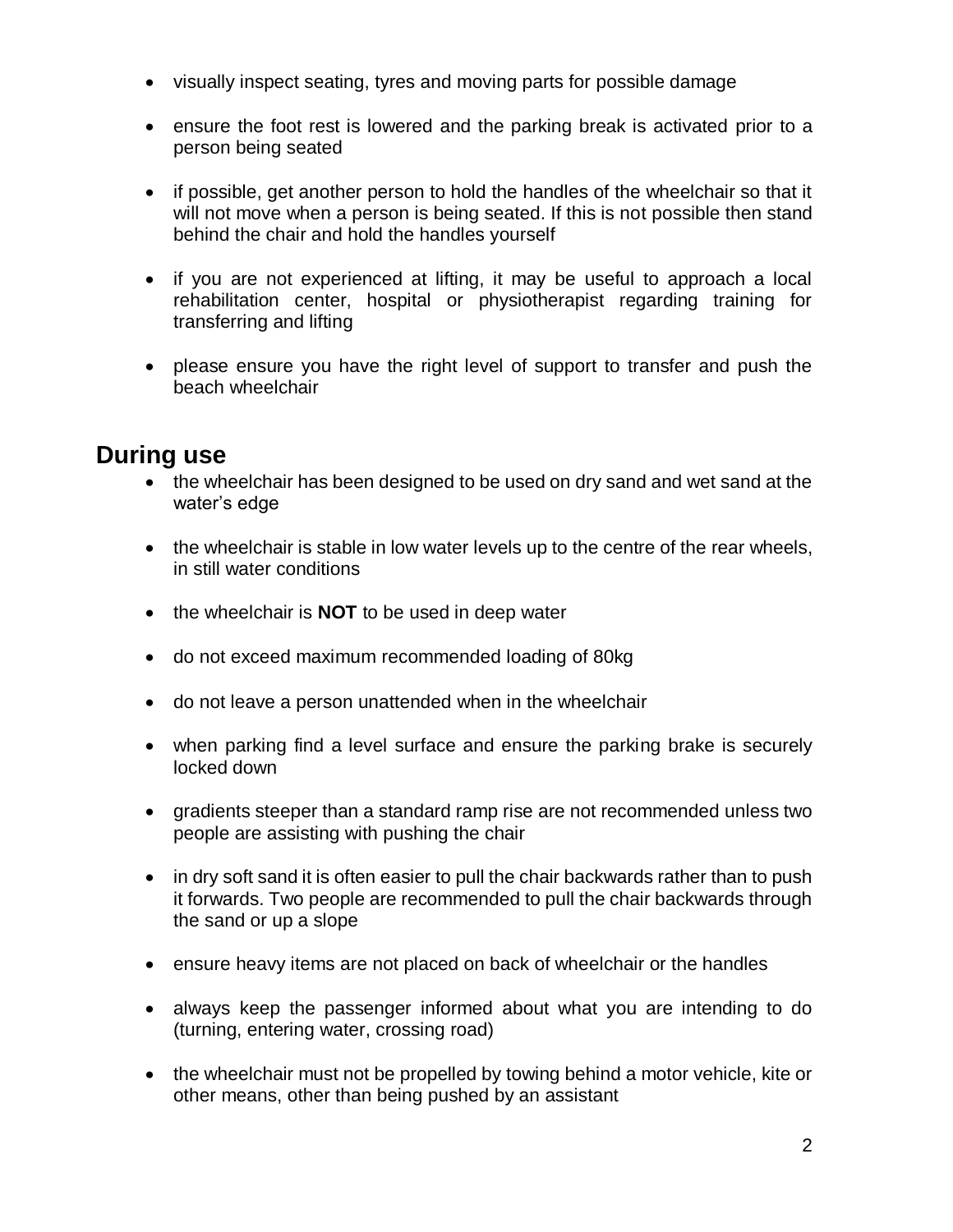- visually inspect seating, tyres and moving parts for possible damage
- ensure the foot rest is lowered and the parking break is activated prior to a person being seated
- if possible, get another person to hold the handles of the wheelchair so that it will not move when a person is being seated. If this is not possible then stand behind the chair and hold the handles yourself
- if you are not experienced at lifting, it may be useful to approach a local rehabilitation center, hospital or physiotherapist regarding training for transferring and lifting
- please ensure you have the right level of support to transfer and push the beach wheelchair

### **During use**

- the wheelchair has been designed to be used on dry sand and wet sand at the water's edge
- the wheelchair is stable in low water levels up to the centre of the rear wheels, in still water conditions
- the wheelchair is **NOT** to be used in deep water
- do not exceed maximum recommended loading of 80kg
- do not leave a person unattended when in the wheelchair
- when parking find a level surface and ensure the parking brake is securely locked down
- gradients steeper than a standard ramp rise are not recommended unless two people are assisting with pushing the chair
- in dry soft sand it is often easier to pull the chair backwards rather than to push it forwards. Two people are recommended to pull the chair backwards through the sand or up a slope
- ensure heavy items are not placed on back of wheelchair or the handles
- always keep the passenger informed about what you are intending to do (turning, entering water, crossing road)
- the wheelchair must not be propelled by towing behind a motor vehicle, kite or other means, other than being pushed by an assistant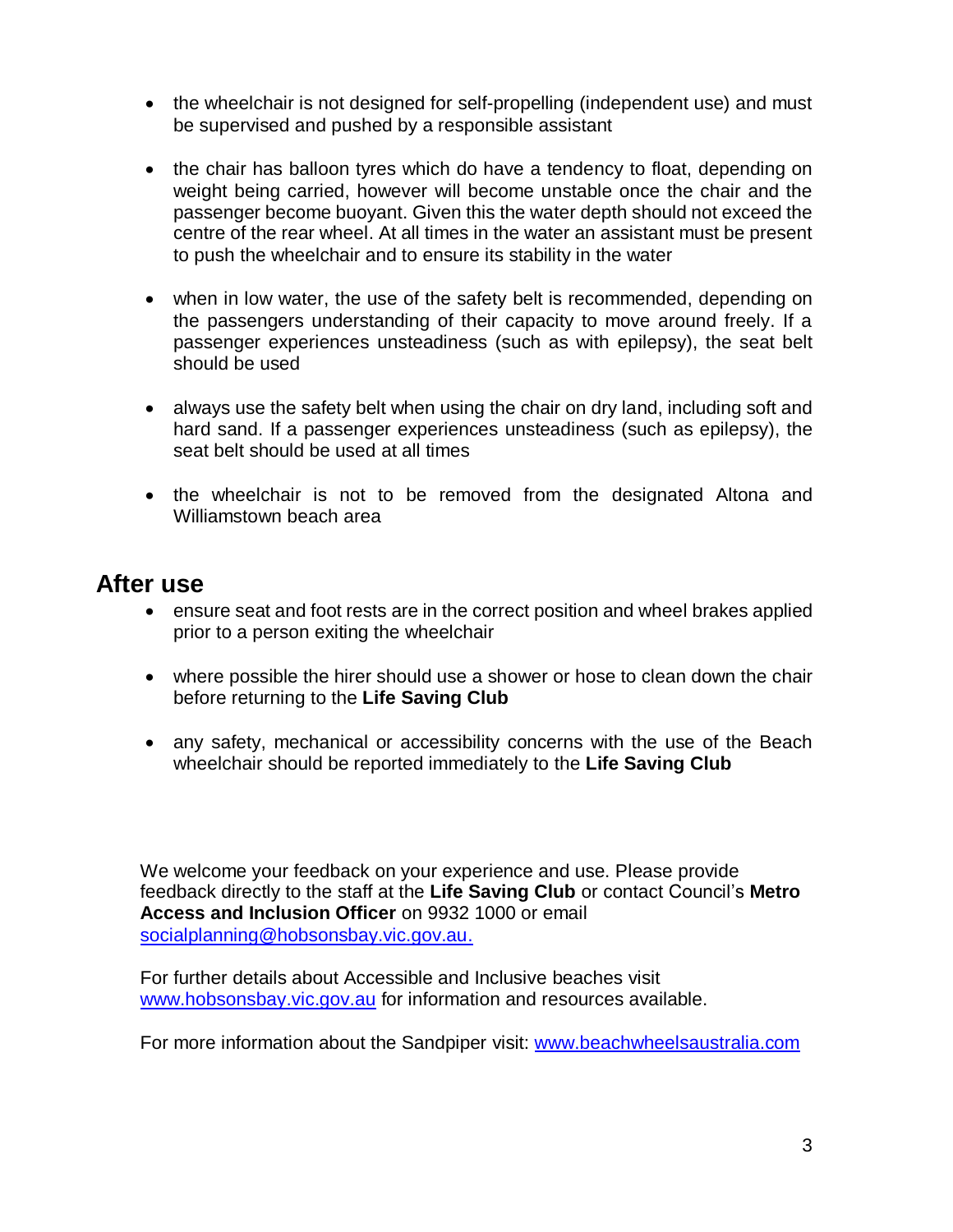- the wheelchair is not designed for self-propelling (independent use) and must be supervised and pushed by a responsible assistant
- the chair has balloon tyres which do have a tendency to float, depending on weight being carried, however will become unstable once the chair and the passenger become buoyant. Given this the water depth should not exceed the centre of the rear wheel. At all times in the water an assistant must be present to push the wheelchair and to ensure its stability in the water
- when in low water, the use of the safety belt is recommended, depending on the passengers understanding of their capacity to move around freely. If a passenger experiences unsteadiness (such as with epilepsy), the seat belt should be used
- always use the safety belt when using the chair on dry land, including soft and hard sand. If a passenger experiences unsteadiness (such as epilepsy), the seat belt should be used at all times
- the wheelchair is not to be removed from the designated Altona and Williamstown beach area

#### **After use**

- ensure seat and foot rests are in the correct position and wheel brakes applied prior to a person exiting the wheelchair
- where possible the hirer should use a shower or hose to clean down the chair before returning to the **Life Saving Club**
- any safety, mechanical or accessibility concerns with the use of the Beach wheelchair should be reported immediately to the **Life Saving Club**

We welcome your feedback on your experience and use. Please provide feedback directly to the staff at the **Life Saving Club** or contact Council's **Metro Access and Inclusion Officer** on 9932 1000 or email socialplanning@hobsonsbay.vic.gov.au.

For further details about Accessible and Inclusive beaches visit www.hobsonsbay.vic.gov.au for information and resources available.

For more information about the Sandpiper visit: www.beachwheelsaustralia.com